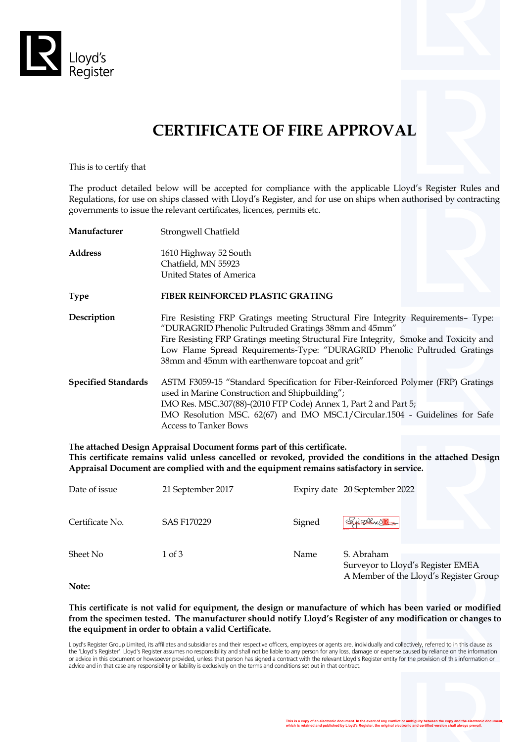

# **CERTIFICATE OF FIRE APPROVAL**

This is to certify that

The product detailed below will be accepted for compliance with the applicable Lloyd's Register Rules and Regulations, for use on ships classed with Lloyd's Register, and for use on ships when authorised by contracting governments to issue the relevant certificates, licences, permits etc.

| Manufacturer               | Strongwell Chatfield                                                                                                                                                                                                                                                                                                                                                |  |  |
|----------------------------|---------------------------------------------------------------------------------------------------------------------------------------------------------------------------------------------------------------------------------------------------------------------------------------------------------------------------------------------------------------------|--|--|
| Address                    | 1610 Highway 52 South<br>Chatfield, MN 55923<br>United States of America                                                                                                                                                                                                                                                                                            |  |  |
| Type                       | <b>FIBER REINFORCED PLASTIC GRATING</b>                                                                                                                                                                                                                                                                                                                             |  |  |
| Description                | Fire Resisting FRP Gratings meeting Structural Fire Integrity Requirements- Type:<br>"DURAGRID Phenolic Pultruded Gratings 38mm and 45mm"<br>Fire Resisting FRP Gratings meeting Structural Fire Integrity, Smoke and Toxicity and<br>Low Flame Spread Requirements-Type: "DURAGRID Phenolic Pultruded Gratings<br>38mm and 45mm with earthenware topcoat and grit" |  |  |
| <b>Specified Standards</b> | ASTM F3059-15 "Standard Specification for Fiber-Reinforced Polymer (FRP) Gratings<br>used in Marine Construction and Shipbuilding";<br>IMO Res. MSC.307(88)-(2010 FTP Code) Annex 1, Part 2 and Part 5;<br>IMO Resolution MSC. 62(67) and IMO MSC.1/Circular.1504 - Guidelines for Safe<br><b>Access to Tanker Bows</b>                                             |  |  |

**The attached Design Appraisal Document forms part of this certificate. This certificate remains valid unless cancelled or revoked, provided the conditions in the attached Design Appraisal Document are complied with and the equipment remains satisfactory in service.**

| Date of issue   | 21 September 2017  |        | Expiry date 20 September 2022                                                             |
|-----------------|--------------------|--------|-------------------------------------------------------------------------------------------|
| Certificate No. | <b>SAS F170229</b> | Signed | Sight P                                                                                   |
| Sheet No        | $1$ of $3$         | Name   | S. Abraham<br>Surveyor to Lloyd's Register EMEA<br>A Member of the Lloyd's Register Group |

**Note:**

#### **This certificate is not valid for equipment, the design or manufacture of which has been varied or modified from the specimen tested. The manufacturer should notify Lloyd's Register of any modification or changes to the equipment in order to obtain a valid Certificate.**

Lloyd's Register Group Limited, its affiliates and subsidiaries and their respective officers, employees or agents are, individually and collectively, referred to in this clause as the 'Lloyd's Register'. Lloyd's Register assumes no responsibility and shall not be liable to any person for any loss, damage or expense caused by reliance on the information<br>or advice in this document or howsoever provide advice and in that case any responsibility or liability is exclusively on the terms and conditions set out in that contract.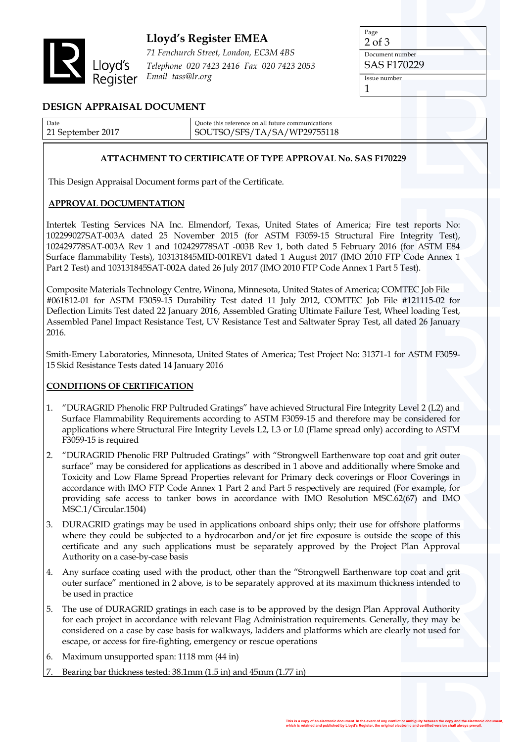

## **Lloyd's Register EMEA**

*71 Fenchurch Street, London, EC3M 4BS Telephone 020 7423 2416 Fax 020 7423 2053 Email tass@lr.org*

Page 2 of 3

Document number SAS F170229

Issue number

1

### **DESIGN APPRAISAL DOCUMENT**

| Date              | Ouote this reference on all future communications |
|-------------------|---------------------------------------------------|
| 21 September 2017 | SOUTSO/SFS/TA/SA/WP29755118                       |
|                   |                                                   |

#### **ATTACHMENT TO CERTIFICATE OF TYPE APPROVAL No. SAS F170229**

This Design Appraisal Document forms part of the Certificate.

#### **APPROVAL DOCUMENTATION**

Intertek Testing Services NA Inc. Elmendorf, Texas, United States of America; Fire test reports No: 102299027SAT-003A dated 25 November 2015 (for ASTM F3059-15 Structural Fire Integrity Test), 102429778SAT-003A Rev 1 and 102429778SAT -003B Rev 1, both dated 5 February 2016 (for ASTM E84 Surface flammability Tests), 103131845MID-001REV1 dated 1 August 2017 (IMO 2010 FTP Code Annex 1 Part 2 Test) and 103131845SAT-002A dated 26 July 2017 (IMO 2010 FTP Code Annex 1 Part 5 Test).

Composite Materials Technology Centre, Winona, Minnesota, United States of America; COMTEC Job File #061812-01 for ASTM F3059-15 Durability Test dated 11 July 2012, COMTEC Job File #121115-02 for Deflection Limits Test dated 22 January 2016, Assembled Grating Ultimate Failure Test, Wheel loading Test, Assembled Panel Impact Resistance Test, UV Resistance Test and Saltwater Spray Test, all dated 26 January 2016.

Smith-Emery Laboratories, Minnesota, United States of America; Test Project No: 31371-1 for ASTM F3059- 15 Skid Resistance Tests dated 14 January 2016

#### **CONDITIONS OF CERTIFICATION**

- 1. "DURAGRID Phenolic FRP Pultruded Gratings" have achieved Structural Fire Integrity Level 2 (L2) and Surface Flammability Requirements according to ASTM F3059-15 and therefore may be considered for applications where Structural Fire Integrity Levels L2, L3 or L0 (Flame spread only) according to ASTM F3059-15 is required
- 2. "DURAGRID Phenolic FRP Pultruded Gratings" with "Strongwell Earthenware top coat and grit outer surface" may be considered for applications as described in 1 above and additionally where Smoke and Toxicity and Low Flame Spread Properties relevant for Primary deck coverings or Floor Coverings in accordance with IMO FTP Code Annex 1 Part 2 and Part 5 respectively are required (For example, for providing safe access to tanker bows in accordance with IMO Resolution MSC.62(67) and IMO MSC.1/Circular.1504)
- 3. DURAGRID gratings may be used in applications onboard ships only; their use for offshore platforms where they could be subjected to a hydrocarbon and/or jet fire exposure is outside the scope of this certificate and any such applications must be separately approved by the Project Plan Approval Authority on a case-by-case basis
- 4. Any surface coating used with the product, other than the "Strongwell Earthenware top coat and grit outer surface" mentioned in 2 above, is to be separately approved at its maximum thickness intended to be used in practice
- 5. The use of DURAGRID gratings in each case is to be approved by the design Plan Approval Authority for each project in accordance with relevant Flag Administration requirements. Generally, they may be considered on a case by case basis for walkways, ladders and platforms which are clearly not used for escape, or access for fire-fighting, emergency or rescue operations
- 6. Maximum unsupported span: 1118 mm (44 in)
- 7. Bearing bar thickness tested: 38.1mm (1.5 in) and 45mm (1.77 in)